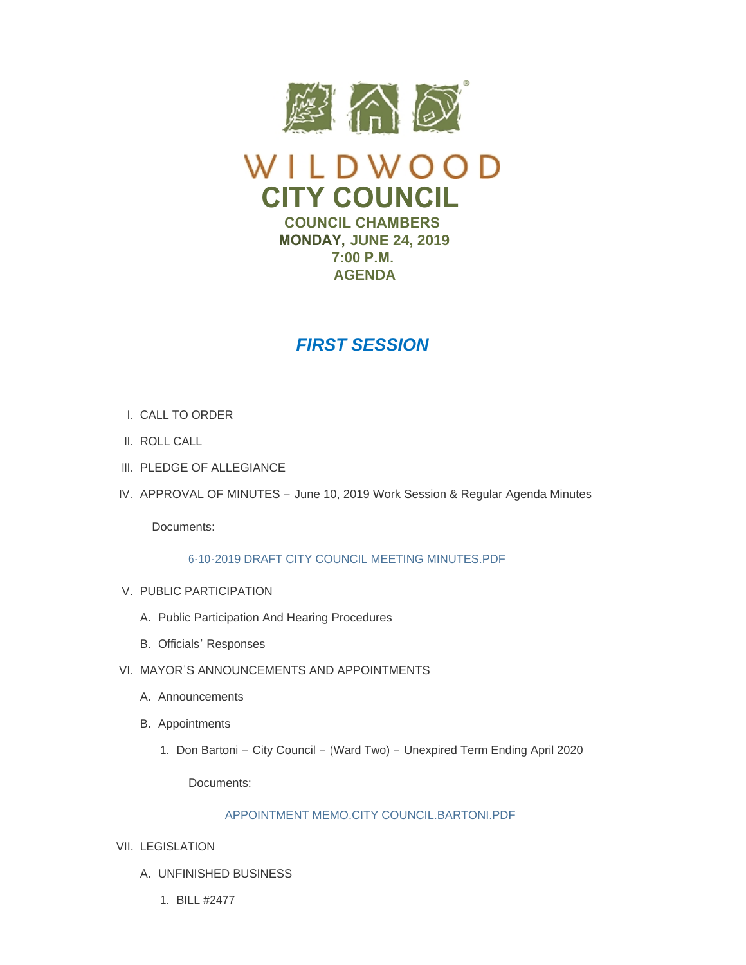



**COUNCIL CHAMBERS MONDAY, JUNE 24, 2019 7:00 P.M. AGENDA**

# *FIRST SESSION*

- CALL TO ORDER I.
- II. ROLL CALL
- III. PLEDGE OF ALLEGIANCE
- IV. APPROVAL OF MINUTES June 10, 2019 Work Session & Regular Agenda Minutes

Documents:

## [6-10-2019 DRAFT CITY COUNCIL MEETING MINUTES.PDF](https://www.cityofwildwood.com/AgendaCenter/ViewFile/Item/20868?fileID=26587)

- V. PUBLIC PARTICIPATION
	- A. Public Participation And Hearing Procedures
	- B. Officials' Responses
- VI. MAYOR'S ANNOUNCEMENTS AND APPOINTMENTS
	- A. Announcements
	- B. Appointments
		- 1. Don Bartoni City Council (Ward Two) Unexpired Term Ending April 2020

Documents:

## [APPOINTMENT MEMO.CITY COUNCIL.BARTONI.PDF](https://www.cityofwildwood.com/AgendaCenter/ViewFile/Item/20878?fileID=26602)

- VII. LEGISLATION
	- UNFINISHED BUSINESS A.
		- BILL #2477 1.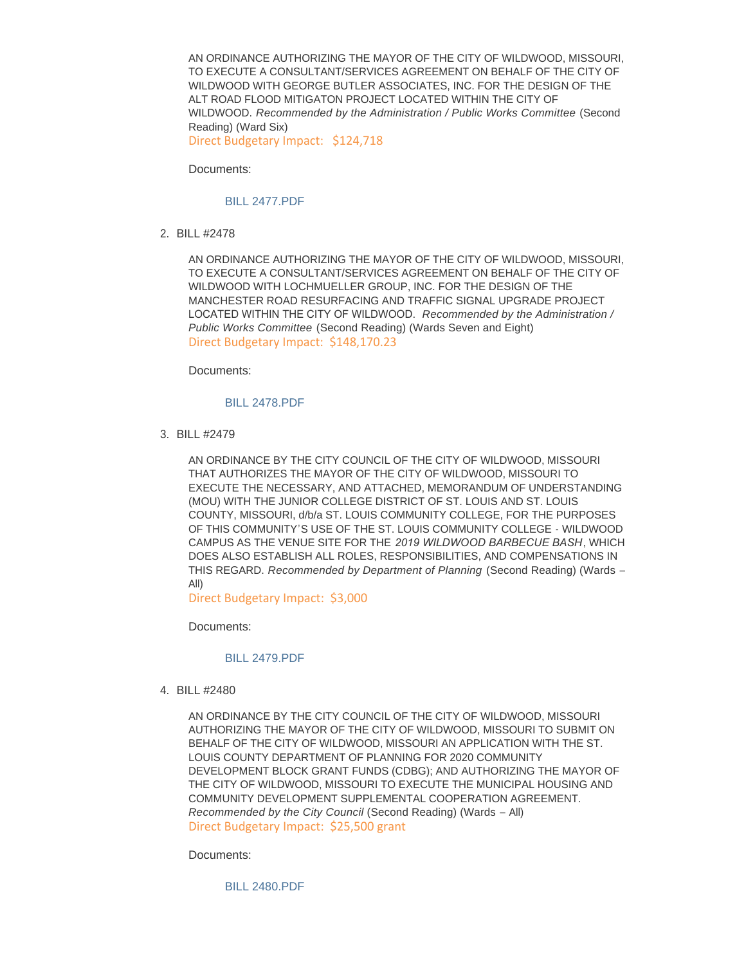AN ORDINANCE AUTHORIZING THE MAYOR OF THE CITY OF WILDWOOD, MISSOURI, TO EXECUTE A CONSULTANT/SERVICES AGREEMENT ON BEHALF OF THE CITY OF WILDWOOD WITH GEORGE BUTLER ASSOCIATES, INC. FOR THE DESIGN OF THE ALT ROAD FLOOD MITIGATON PROJECT LOCATED WITHIN THE CITY OF WILDWOOD. *Recommended by the Administration / Public Works Committee* (Second Reading) (Ward Six) Direct Budgetary Impact: \$124,718

Documents:

#### [BILL 2477.PDF](https://www.cityofwildwood.com/AgendaCenter/ViewFile/Item/20815?fileID=26571)

BILL #2478 2.

AN ORDINANCE AUTHORIZING THE MAYOR OF THE CITY OF WILDWOOD, MISSOURI, TO EXECUTE A CONSULTANT/SERVICES AGREEMENT ON BEHALF OF THE CITY OF WILDWOOD WITH LOCHMUELLER GROUP, INC. FOR THE DESIGN OF THE MANCHESTER ROAD RESURFACING AND TRAFFIC SIGNAL UPGRADE PROJECT LOCATED WITHIN THE CITY OF WILDWOOD. *Recommended by the Administration / Public Works Committee* (Second Reading) (Wards Seven and Eight) Direct Budgetary Impact: \$148,170.23

Documents:

#### [BILL 2478.PDF](https://www.cityofwildwood.com/AgendaCenter/ViewFile/Item/20816?fileID=26572)

BILL #2479 3.

AN ORDINANCE BY THE CITY COUNCIL OF THE CITY OF WILDWOOD, MISSOURI THAT AUTHORIZES THE MAYOR OF THE CITY OF WILDWOOD, MISSOURI TO EXECUTE THE NECESSARY, AND ATTACHED, MEMORANDUM OF UNDERSTANDING (MOU) WITH THE JUNIOR COLLEGE DISTRICT OF ST. LOUIS AND ST. LOUIS COUNTY, MISSOURI, d/b/a ST. LOUIS COMMUNITY COLLEGE, FOR THE PURPOSES OF THIS COMMUNITY'S USE OF THE ST. LOUIS COMMUNITY COLLEGE - WILDWOOD CAMPUS AS THE VENUE SITE FOR THE *2019 WILDWOOD BARBECUE BASH*, WHICH DOES ALSO ESTABLISH ALL ROLES, RESPONSIBILITIES, AND COMPENSATIONS IN THIS REGARD. *Recommended by Department of Planning* (Second Reading) (Wards – All)

Direct Budgetary Impact: \$3,000

Documents:

#### [BILL 2479.PDF](https://www.cityofwildwood.com/AgendaCenter/ViewFile/Item/20817?fileID=26573)

BILL #2480 4.

AN ORDINANCE BY THE CITY COUNCIL OF THE CITY OF WILDWOOD, MISSOURI AUTHORIZING THE MAYOR OF THE CITY OF WILDWOOD, MISSOURI TO SUBMIT ON BEHALF OF THE CITY OF WILDWOOD, MISSOURI AN APPLICATION WITH THE ST. LOUIS COUNTY DEPARTMENT OF PLANNING FOR 2020 COMMUNITY DEVELOPMENT BLOCK GRANT FUNDS (CDBG); AND AUTHORIZING THE MAYOR OF THE CITY OF WILDWOOD, MISSOURI TO EXECUTE THE MUNICIPAL HOUSING AND COMMUNITY DEVELOPMENT SUPPLEMENTAL COOPERATION AGREEMENT. *Recommended by the City Council* (Second Reading) (Wards – All) Direct Budgetary Impact: \$25,500 grant

Documents:

[BILL 2480.PDF](https://www.cityofwildwood.com/AgendaCenter/ViewFile/Item/20818?fileID=26574)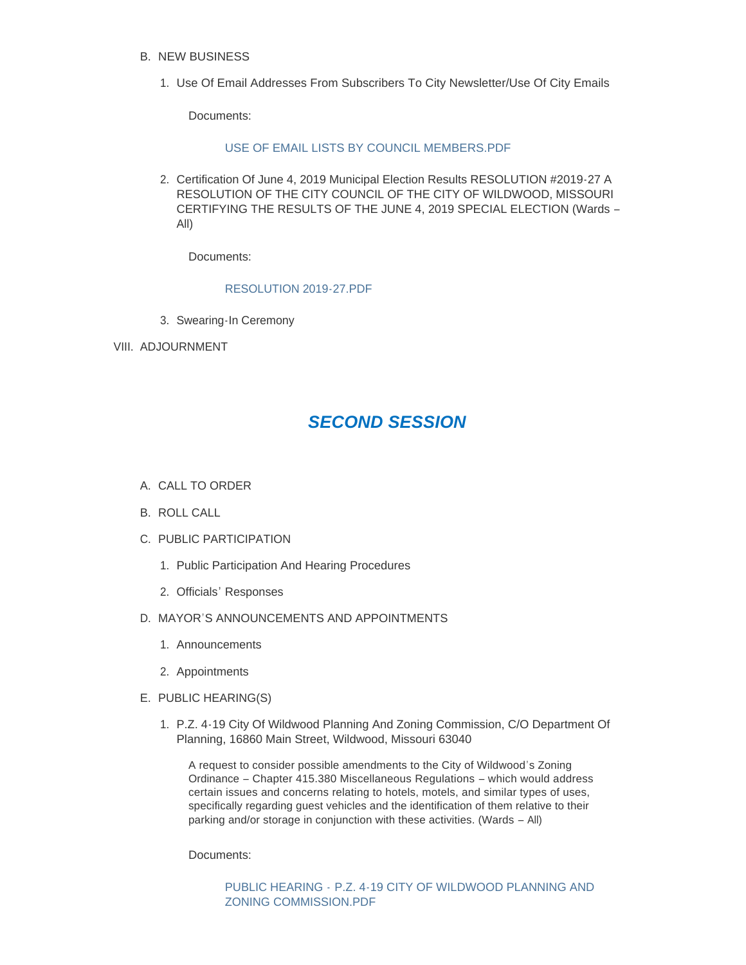- **B. NEW BUSINESS** 
	- 1. Use Of Email Addresses From Subscribers To City Newsletter/Use Of City Emails

Documents:

#### [USE OF EMAIL LISTS BY COUNCIL MEMBERS.PDF](https://www.cityofwildwood.com/AgendaCenter/ViewFile/Item/20820?fileID=26601)

2. Certification Of June 4, 2019 Municipal Election Results RESOLUTION #2019-27 A RESOLUTION OF THE CITY COUNCIL OF THE CITY OF WILDWOOD, MISSOURI CERTIFYING THE RESULTS OF THE JUNE 4, 2019 SPECIAL ELECTION (Wards – All)

Documents:

## [RESOLUTION 2019-27.PDF](https://www.cityofwildwood.com/AgendaCenter/ViewFile/Item/20821?fileID=26575)

- Swearing-In Ceremony 3.
- VIII. ADJOURNMENT

## *SECOND SESSION*

- A. CALL TO ORDER
- B. ROLL CALL
- C. PUBLIC PARTICIPATION
	- 1. Public Participation And Hearing Procedures
	- 2. Officials' Responses
- D. MAYOR'S ANNOUNCEMENTS AND APPOINTMENTS
	- Announcements 1.
	- 2. Appointments
- E. PUBLIC HEARING(S)
	- 1. P.Z. 4-19 City Of Wildwood Planning And Zoning Commission, C/O Department Of Planning, 16860 Main Street, Wildwood, Missouri 63040

A request to consider possible amendments to the City of Wildwood's Zoning Ordinance – Chapter 415.380 Miscellaneous Regulations – which would address certain issues and concerns relating to hotels, motels, and similar types of uses, specifically regarding guest vehicles and the identification of them relative to their parking and/or storage in conjunction with these activities. (Wards – All)

Documents:

PUBLIC HEARING - [P.Z. 4-19 CITY OF WILDWOOD PLANNING AND](https://www.cityofwildwood.com/AgendaCenter/ViewFile/Item/20833?fileID=26577)  ZONING COMMISSION.PDF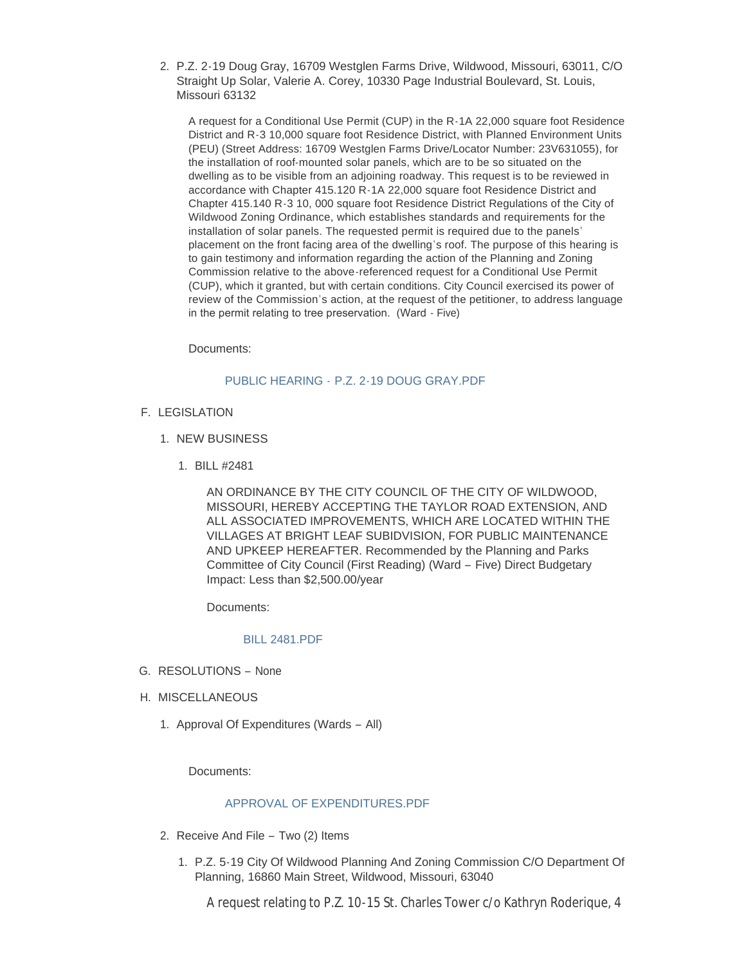2. P.Z. 2-19 Doug Gray, 16709 Westglen Farms Drive, Wildwood, Missouri, 63011, C/O Straight Up Solar, Valerie A. Corey, 10330 Page Industrial Boulevard, St. Louis, Missouri 63132

A request for a Conditional Use Permit (CUP) in the R-1A 22,000 square foot Residence District and R-3 10,000 square foot Residence District, with Planned Environment Units (PEU) (Street Address: 16709 Westglen Farms Drive/Locator Number: 23V631055), for the installation of roof-mounted solar panels, which are to be so situated on the dwelling as to be visible from an adjoining roadway. This request is to be reviewed in accordance with Chapter 415.120 R-1A 22,000 square foot Residence District and Chapter 415.140 R-3 10, 000 square foot Residence District Regulations of the City of Wildwood Zoning Ordinance, which establishes standards and requirements for the installation of solar panels. The requested permit is required due to the panels' placement on the front facing area of the dwelling's roof. The purpose of this hearing is to gain testimony and information regarding the action of the Planning and Zoning Commission relative to the above-referenced request for a Conditional Use Permit (CUP), which it granted, but with certain conditions. City Council exercised its power of review of the Commission's action, at the request of the petitioner, to address language in the permit relating to tree preservation. (Ward - Five)

Documents:

## PUBLIC HEARING - [P.Z. 2-19 DOUG GRAY.PDF](https://www.cityofwildwood.com/AgendaCenter/ViewFile/Item/20834?fileID=26578)

- F. LEGISLATION
	- 1. NEW BUSINESS
		- BILL #2481 1.

AN ORDINANCE BY THE CITY COUNCIL OF THE CITY OF WILDWOOD, MISSOURI, HEREBY ACCEPTING THE TAYLOR ROAD EXTENSION, AND ALL ASSOCIATED IMPROVEMENTS, WHICH ARE LOCATED WITHIN THE VILLAGES AT BRIGHT LEAF SUBIDVISION, FOR PUBLIC MAINTENANCE AND UPKEEP HEREAFTER. Recommended by the Planning and Parks Committee of City Council (First Reading) (Ward – Five) Direct Budgetary Impact: Less than \$2,500.00/year

Documents:

## [BILL 2481.PDF](https://www.cityofwildwood.com/AgendaCenter/ViewFile/Item/20877?fileID=26595)

- G. RESOLUTIONS None
- H. MISCELLANEOUS
	- 1. Approval Of Expenditures (Wards All)

Documents:

## [APPROVAL OF EXPENDITURES.PDF](https://www.cityofwildwood.com/AgendaCenter/ViewFile/Item/20840?fileID=26579)

- 2. Receive And File Two (2) Items
	- 1. P.Z. 5-19 City Of Wildwood Planning And Zoning Commission C/O Department Of Planning, 16860 Main Street, Wildwood, Missouri, 63040

A request relating to P.Z. 10-15 St. Charles Tower c/o Kathryn Roderique, 4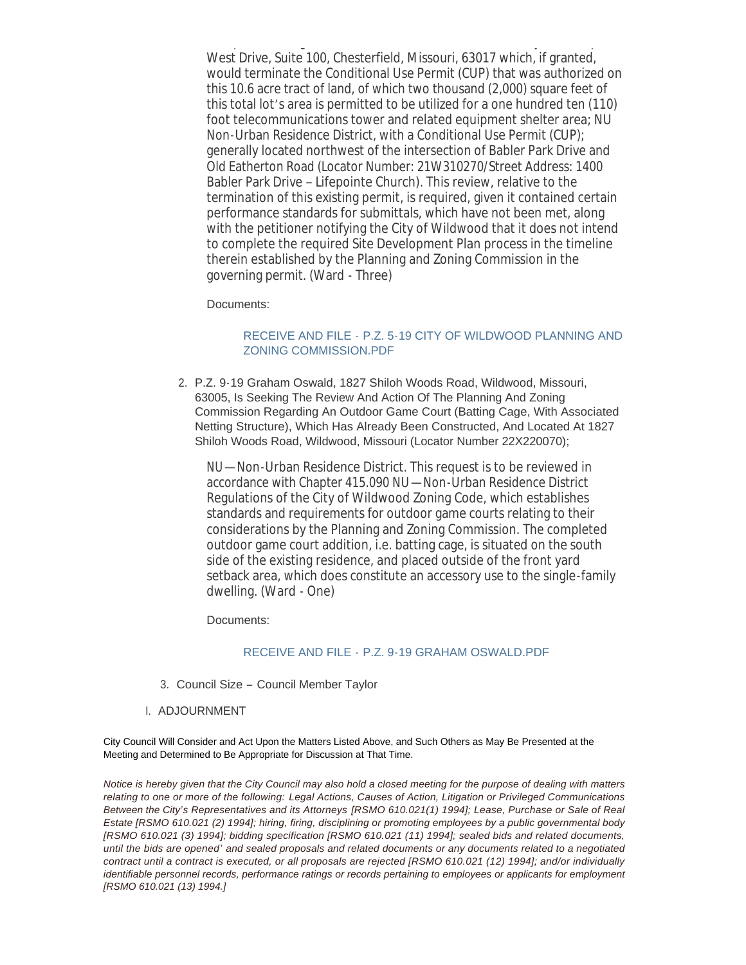A request relating to P.Z. 10-15 St. Charles Tower c/o Kathryn Roderique, 4 West Drive, Suite 100, Chesterfield, Missouri, 63017 which, if granted, would terminate the Conditional Use Permit (CUP) that was authorized on this 10.6 acre tract of land, of which two thousand (2,000) square feet of this total lot's area is permitted to be utilized for a one hundred ten (110) foot telecommunications tower and related equipment shelter area; NU Non-Urban Residence District, with a Conditional Use Permit (CUP); generally located northwest of the intersection of Babler Park Drive and Old Eatherton Road (Locator Number: 21W310270/Street Address: 1400 Babler Park Drive – Lifepointe Church). This review, relative to the termination of this existing permit, is required, given it contained certain performance standards for submittals, which have not been met, along with the petitioner notifying the City of Wildwood that it does not intend to complete the required Site Development Plan process in the timeline therein established by the Planning and Zoning Commission in the governing permit. (Ward - Three)

Documents:

## RECEIVE AND FILE - [P.Z. 5-19 CITY OF WILDWOOD PLANNING AND](https://www.cityofwildwood.com/AgendaCenter/ViewFile/Item/20842?fileID=26580)  ZONING COMMISSION.PDF

P.Z. 9-19 Graham Oswald, 1827 Shiloh Woods Road, Wildwood, Missouri, 2. 63005, Is Seeking The Review And Action Of The Planning And Zoning Commission Regarding An Outdoor Game Court (Batting Cage, With Associated Netting Structure), Which Has Already Been Constructed, And Located At 1827 Shiloh Woods Road, Wildwood, Missouri (Locator Number 22X220070);

NU—Non-Urban Residence District. This request is to be reviewed in accordance with Chapter 415.090 NU—Non-Urban Residence District Regulations of the City of Wildwood Zoning Code, which establishes standards and requirements for outdoor game courts relating to their considerations by the Planning and Zoning Commission. The completed outdoor game court addition, i.e. batting cage, is situated on the south side of the existing residence, and placed outside of the front yard setback area, which does constitute an accessory use to the single-family dwelling. (Ward - One)

Documents:

#### RECEIVE AND FILE - [P.Z. 9-19 GRAHAM OSWALD.PDF](https://www.cityofwildwood.com/AgendaCenter/ViewFile/Item/20843?fileID=26581)

- 3. Council Size Council Member Taylor
- I. ADJOURNMENT

City Council Will Consider and Act Upon the Matters Listed Above, and Such Others as May Be Presented at the Meeting and Determined to Be Appropriate for Discussion at That Time.

*Notice is hereby given that the City Council may also hold a closed meeting for the purpose of dealing with matters relating to one or more of the following: Legal Actions, Causes of Action, Litigation or Privileged Communications Between the City's Representatives and its Attorneys [RSMO 610.021(1) 1994]; Lease, Purchase or Sale of Real Estate [RSMO 610.021 (2) 1994]; hiring, firing, disciplining or promoting employees by a public governmental body [RSMO 610.021 (3) 1994]; bidding specification [RSMO 610.021 (11) 1994]; sealed bids and related documents, until the bids are opened' and sealed proposals and related documents or any documents related to a negotiated contract until a contract is executed, or all proposals are rejected [RSMO 610.021 (12) 1994]; and/or individually identifiable personnel records, performance ratings or records pertaining to employees or applicants for employment [RSMO 610.021 (13) 1994.]*